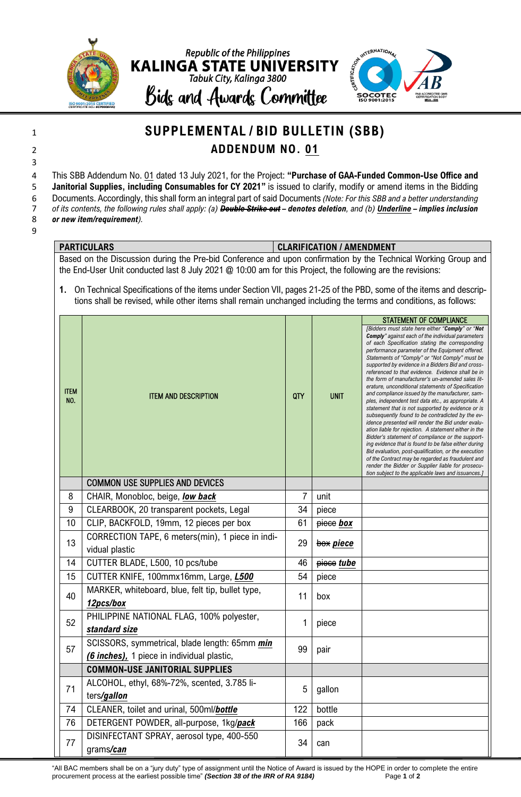



## <sup>1</sup> **SUPPLEMENTAL / BID BULLETIN (SBB)** 2 **ADDENDUM NO. 01**

4 This SBB Addendum No. 01 dated 13 July 2021, for the Project: **"Purchase of GAA-Funded Common-Use Office and**  5 **Janitorial Supplies, including Consumables for CY 2021"** is issued to clarify, modify or amend items in the Bidding

6 Documents. Accordingly, this shall form an integral part of said Documents *(Note: For this SBB and a better understanding* 

7 *of its contents, the following rules shall apply: (a) Double Strike out – denotes deletion, and (b) Underline – implies inclusion*  8 *or new item/requirement).*

9

3

## **PARTICULARS CLARIFICATION / AMENDMENT**

Based on the Discussion during the Pre-bid Conference and upon confirmation by the Technical Working Group and the End-User Unit conducted last 8 July 2021 @ 10:00 am for this Project, the following are the revisions:

**1.** On Technical Specifications of the items under Section VII, pages 21-25 of the PBD, some of the items and descriptions shall be revised, while other items shall remain unchanged including the terms and conditions, as follows:

|                    |                                                                                             |            |             | <b>STATEMENT OF COMPLIANCE</b>                                                                                                                                                                                                                                                                                                                                                                                                                                                                                                                                                                                                                                                                                                                                                                                                                                                                                                                                                                                                                                                                                                                                  |
|--------------------|---------------------------------------------------------------------------------------------|------------|-------------|-----------------------------------------------------------------------------------------------------------------------------------------------------------------------------------------------------------------------------------------------------------------------------------------------------------------------------------------------------------------------------------------------------------------------------------------------------------------------------------------------------------------------------------------------------------------------------------------------------------------------------------------------------------------------------------------------------------------------------------------------------------------------------------------------------------------------------------------------------------------------------------------------------------------------------------------------------------------------------------------------------------------------------------------------------------------------------------------------------------------------------------------------------------------|
| <b>ITEM</b><br>NO. | <b>ITEM AND DESCRIPTION</b>                                                                 | <b>QTY</b> | <b>UNIT</b> | [Bidders must state here either "Comply" or "Not<br><b>Comply</b> " against each of the individual parameters<br>of each Specification stating the corresponding<br>performance parameter of the Equipment offered.<br>Statements of "Comply" or "Not Comply" must be<br>supported by evidence in a Bidders Bid and cross-<br>referenced to that evidence. Evidence shall be in<br>the form of manufacturer's un-amended sales lit-<br>erature, unconditional statements of Specification<br>and compliance issued by the manufacturer, sam-<br>ples, independent test data etc., as appropriate. A<br>statement that is not supported by evidence or is<br>subsequently found to be contradicted by the ev-<br>idence presented will render the Bid under evalu-<br>ation liable for rejection. A statement either in the<br>Bidder's statement of compliance or the support-<br>ing evidence that is found to be false either during<br>Bid evaluation, post-qualification, or the execution<br>of the Contract may be regarded as fraudulent and<br>render the Bidder or Supplier liable for prosecu-<br>tion subject to the applicable laws and issuances.] |
|                    | <b>COMMON USE SUPPLIES AND DEVICES</b>                                                      |            |             |                                                                                                                                                                                                                                                                                                                                                                                                                                                                                                                                                                                                                                                                                                                                                                                                                                                                                                                                                                                                                                                                                                                                                                 |
| 8                  | CHAIR, Monobloc, beige, low back                                                            | 7          | unit        |                                                                                                                                                                                                                                                                                                                                                                                                                                                                                                                                                                                                                                                                                                                                                                                                                                                                                                                                                                                                                                                                                                                                                                 |
| 9                  | CLEARBOOK, 20 transparent pockets, Legal                                                    | 34         | piece       |                                                                                                                                                                                                                                                                                                                                                                                                                                                                                                                                                                                                                                                                                                                                                                                                                                                                                                                                                                                                                                                                                                                                                                 |
| 10                 | CLIP, BACKFOLD, 19mm, 12 pieces per box                                                     | 61         | piece box   |                                                                                                                                                                                                                                                                                                                                                                                                                                                                                                                                                                                                                                                                                                                                                                                                                                                                                                                                                                                                                                                                                                                                                                 |
| 13                 | CORRECTION TAPE, 6 meters(min), 1 piece in indi-<br>vidual plastic                          | 29         | box piece   |                                                                                                                                                                                                                                                                                                                                                                                                                                                                                                                                                                                                                                                                                                                                                                                                                                                                                                                                                                                                                                                                                                                                                                 |
| 14                 | CUTTER BLADE, L500, 10 pcs/tube                                                             | 46         | piece tube  |                                                                                                                                                                                                                                                                                                                                                                                                                                                                                                                                                                                                                                                                                                                                                                                                                                                                                                                                                                                                                                                                                                                                                                 |
| 15                 | CUTTER KNIFE, 100mmx16mm, Large, L500                                                       | 54         | piece       |                                                                                                                                                                                                                                                                                                                                                                                                                                                                                                                                                                                                                                                                                                                                                                                                                                                                                                                                                                                                                                                                                                                                                                 |
| 40                 | MARKER, whiteboard, blue, felt tip, bullet type,<br>12pcs/box                               | 11         | box         |                                                                                                                                                                                                                                                                                                                                                                                                                                                                                                                                                                                                                                                                                                                                                                                                                                                                                                                                                                                                                                                                                                                                                                 |
| 52                 | PHILIPPINE NATIONAL FLAG, 100% polyester,<br>standard size                                  | 1          | piece       |                                                                                                                                                                                                                                                                                                                                                                                                                                                                                                                                                                                                                                                                                                                                                                                                                                                                                                                                                                                                                                                                                                                                                                 |
| 57                 | SCISSORS, symmetrical, blade length: 65mm min<br>(6 inches), 1 piece in individual plastic, | 99         | pair        |                                                                                                                                                                                                                                                                                                                                                                                                                                                                                                                                                                                                                                                                                                                                                                                                                                                                                                                                                                                                                                                                                                                                                                 |
|                    | <b>COMMON-USE JANITORIAL SUPPLIES</b>                                                       |            |             |                                                                                                                                                                                                                                                                                                                                                                                                                                                                                                                                                                                                                                                                                                                                                                                                                                                                                                                                                                                                                                                                                                                                                                 |
| 71                 | ALCOHOL, ethyl, 68%-72%, scented, 3.785 li-<br>ters/gallon                                  | 5          | gallon      |                                                                                                                                                                                                                                                                                                                                                                                                                                                                                                                                                                                                                                                                                                                                                                                                                                                                                                                                                                                                                                                                                                                                                                 |
| 74                 | CLEANER, toilet and urinal, 500ml/bottle                                                    | 122        | bottle      |                                                                                                                                                                                                                                                                                                                                                                                                                                                                                                                                                                                                                                                                                                                                                                                                                                                                                                                                                                                                                                                                                                                                                                 |
| 76                 | DETERGENT POWDER, all-purpose, 1kg/pack                                                     | 166        | pack        |                                                                                                                                                                                                                                                                                                                                                                                                                                                                                                                                                                                                                                                                                                                                                                                                                                                                                                                                                                                                                                                                                                                                                                 |
| 77                 | DISINFECTANT SPRAY, aerosol type, 400-550<br>grams/can                                      | 34         | can         |                                                                                                                                                                                                                                                                                                                                                                                                                                                                                                                                                                                                                                                                                                                                                                                                                                                                                                                                                                                                                                                                                                                                                                 |

"All BAC members shall be on a "jury duty" type of assignment until the Notice of Award is issued by the HOPE in order to complete the entire procurement process at the earliest possible time" *(Section 38 of the IRR of RA 9184)* Page **1** of **2**